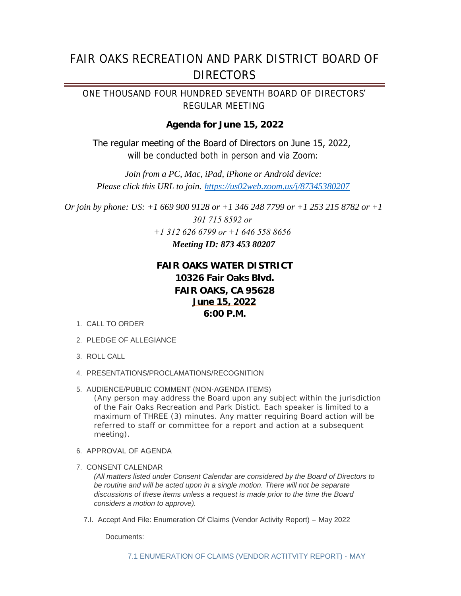# FAIR OAKS RECREATION AND PARK DISTRICT BOARD OF **DIRECTORS**

*ONE THOUSAND FOUR HUNDRED SEVENTH BOARD OF DIRECTORS*' *REGULAR MEETING*

# **Agenda for June 15, 2022**

The regular meeting of the Board of Directors on June 15, 2022, *will be conducted both in person and via Zoom:*

*Join from a PC, Mac, iPad, iPhone or Android device: Please click this URL to join. https://us02web.zoom.us/j/87345380207*

*Or join by phone: US: +1 669 900 9128 or +1 346 248 7799 or +1 253 215 8782 or +1 301 715 8592 or +1 312 626 6799 or +1 646 558 8656 Meeting ID: 873 453 80207*

# **FAIR OAKS WATER DISTRICT 10326 Fair Oaks Blvd. FAIR OAKS, CA 95628 June 15, 2022 6:00 P.M.**

- 1. CALL TO ORDER
- 2. PLEDGE OF ALLEGIANCE
- ROLL CALL 3.
- PRESENTATIONS/PROCLAMATIONS/RECOGNITION 4.
- 5. AUDIENCE/PUBLIC COMMENT (NON-AGENDA ITEMS)

*(Any person may address the Board upon any subject within the jurisdiction of the Fair Oaks Recreation and Park Distict. Each speaker is limited to a maximum of THREE (3) minutes. Any matter requiring Board action will be referred to staff or committee for a report and action at a subsequent meeting).*

- 6. APPROVAL OF AGENDA
- 7. CONSENT CALENDAR

*(All matters listed under Consent Calendar are considered by the Board of Directors to be routine and will be acted upon in a single motion. There will not be separate discussions of these items unless a request is made prior to the time the Board considers a motion to approve).*

7.I. Accept And File: Enumeration Of Claims (Vendor Activity Report) - May 2022

Documents: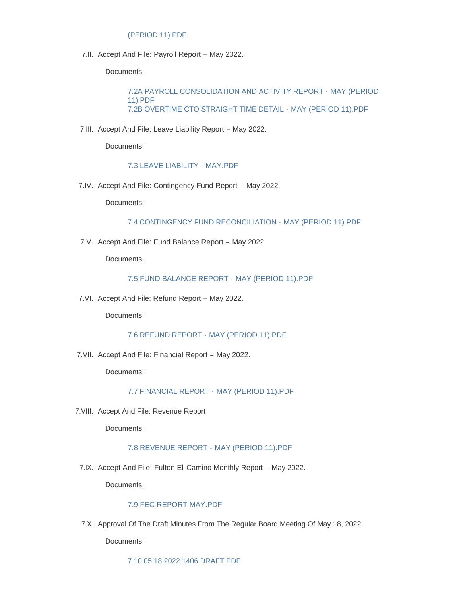# (PERIOD 11).PDF

7.II. Accept And File: Payroll Report - May 2022.

Documents:

[7.2A PAYROLL CONSOLIDATION AND ACTIVITY REPORT -](https://www.forpd.org/AgendaCenter/ViewFile/Item/1883?fileID=16480) MAY (PERIOD 11).PDF [7.2B OVERTIME CTO STRAIGHT TIME DETAIL -](https://www.forpd.org/AgendaCenter/ViewFile/Item/1883?fileID=16481) MAY (PERIOD 11).PDF

7.III. Accept And File: Leave Liability Report - May 2022.

Documents:

#### [7.3 LEAVE LIABILITY -](https://www.forpd.org/AgendaCenter/ViewFile/Item/1884?fileID=16482) MAY.PDF

7.IV. Accept And File: Contingency Fund Report - May 2022.

Documents:

[7.4 CONTINGENCY FUND RECONCILIATION -](https://www.forpd.org/AgendaCenter/ViewFile/Item/1885?fileID=16495) MAY (PERIOD 11).PDF

7.V. Accept And File: Fund Balance Report - May 2022.

Documents:

#### [7.5 FUND BALANCE REPORT -](https://www.forpd.org/AgendaCenter/ViewFile/Item/1886?fileID=16484) MAY (PERIOD 11).PDF

7.VI. Accept And File: Refund Report - May 2022.

Documents:

[7.6 REFUND REPORT -](https://www.forpd.org/AgendaCenter/ViewFile/Item/1887?fileID=16485) MAY (PERIOD 11).PDF

7. VII. Accept And File: Financial Report - May 2022.

Documents:

[7.7 FINANCIAL REPORT -](https://www.forpd.org/AgendaCenter/ViewFile/Item/1888?fileID=16486) MAY (PERIOD 11).PDF

7. VIII. Accept And File: Revenue Report

Documents:

#### [7.8 REVENUE REPORT -](https://www.forpd.org/AgendaCenter/ViewFile/Item/1889?fileID=16487) MAY (PERIOD 11).PDF

7.IX. Accept And File: Fulton El-Camino Monthly Report - May 2022.

Documents:

#### [7.9 FEC REPORT MAY.PDF](https://www.forpd.org/AgendaCenter/ViewFile/Item/1890?fileID=16488)

7.X. Approval Of The Draft Minutes From The Regular Board Meeting Of May 18, 2022.

Documents: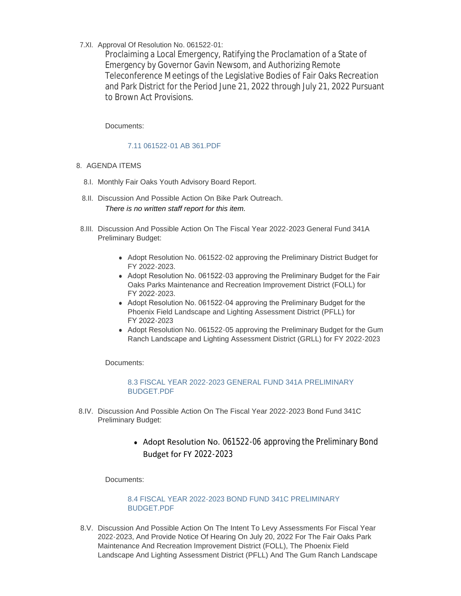7.XI. Approval Of Resolution No. 061522-01:

Proclaiming a Local Emergency, Ratifying the Proclamation of a State of Emergency by Governor Gavin Newsom, and Authorizing Remote Teleconference Meetings of the Legislative Bodies of Fair Oaks Recreation and Park District for the Period June 21, 2022 through July 21, 2022 Pursuant to Brown Act Provisions.

Documents:

### [7.11 061522-01 AB 361.PDF](https://www.forpd.org/AgendaCenter/ViewFile/Item/1892?fileID=16496)

- 8. AGENDA ITEMS
	- 8.I. Monthly Fair Oaks Youth Advisory Board Report.
	- 8.II. Discussion And Possible Action On Bike Park Outreach. *There is no written staff report for this item.*
	- 8.III. Discussion And Possible Action On The Fiscal Year 2022-2023 General Fund 341A Preliminary Budget:
		- Adopt Resolution No. 061522-02 approving the Preliminary District Budget for FY 2022-2023.
		- Adopt Resolution No. 061522-03 approving the Preliminary Budget for the Fair Oaks Parks Maintenance and Recreation Improvement District (FOLL) for FY 2022-2023.
		- Adopt Resolution No. 061522-04 approving the Preliminary Budget for the Phoenix Field Landscape and Lighting Assessment District (PFLL) for FY 2022-2023
		- Adopt Resolution No. 061522-05 approving the Preliminary Budget for the Gum Ranch Landscape and Lighting Assessment District (GRLL) for FY 2022-2023

Documents:

[8.3 FISCAL YEAR 2022-2023 GENERAL FUND 341A PRELIMINARY](https://www.forpd.org/AgendaCenter/ViewFile/Item/1894?fileID=16498)  BUDGET.PDF

- 8.IV. Discussion And Possible Action On The Fiscal Year 2022-2023 Bond Fund 341C Preliminary Budget:
	- Adopt Resolution No. 061522-06 approving the Preliminary Bond Budget for FY 2022-2023

Documents:

[8.4 FISCAL YEAR 2022-2023 BOND FUND 341C PRELIMINARY](https://www.forpd.org/AgendaCenter/ViewFile/Item/1895?fileID=16492)  BUDGET.PDF

8.V. Discussion And Possible Action On The Intent To Levy Assessments For Fiscal Year 2022-2023, And Provide Notice Of Hearing On July 20, 2022 For The Fair Oaks Park Maintenance And Recreation Improvement District (FOLL), The Phoenix Field Landscape And Lighting Assessment District (PFLL) And The Gum Ranch Landscape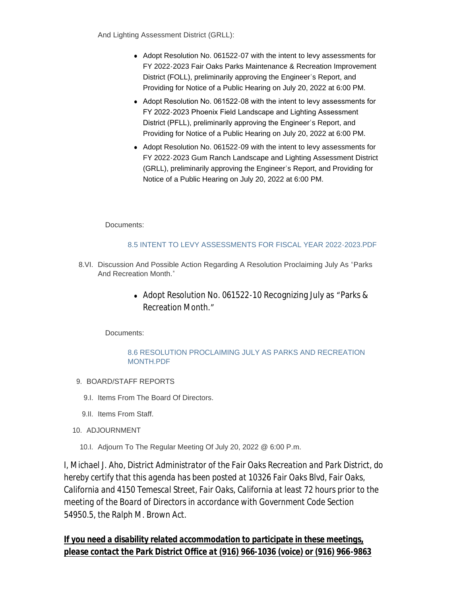And Lighting Assessment District (GRLL):

- Adopt Resolution No. 061522-07 with the intent to levy assessments for FY 2022-2023 Fair Oaks Parks Maintenance & Recreation Improvement District (FOLL), preliminarily approving the Engineer's Report, and Providing for Notice of a Public Hearing on July 20, 2022 at 6:00 PM.
- Adopt Resolution No. 061522-08 with the intent to levy assessments for FY 2022-2023 Phoenix Field Landscape and Lighting Assessment District (PFLL), preliminarily approving the Engineer's Report, and Providing for Notice of a Public Hearing on July 20, 2022 at 6:00 PM.
- Adopt Resolution No. 061522-09 with the intent to levy assessments for FY 2022-2023 Gum Ranch Landscape and Lighting Assessment District (GRLL), preliminarily approving the Engineer's Report, and Providing for Notice of a Public Hearing on July 20, 2022 at 6:00 PM.

Documents:

# [8.5 INTENT TO LEVY ASSESSMENTS FOR FISCAL YEAR 2022-2023.PDF](https://www.forpd.org/AgendaCenter/ViewFile/Item/1896?fileID=16493)

- 8.VI. Discussion And Possible Action Regarding A Resolution Proclaiming July As "Parks And Recreation Month."
	- Adopt Resolution No. 061522-10 Recognizing July as "Parks & Recreation Month."

Documents:

# [8.6 RESOLUTION PROCLAIMING JULY AS PARKS AND RECREATION](https://www.forpd.org/AgendaCenter/ViewFile/Item/1897?fileID=16494)  MONTH.PDF

- 9. BOARD/STAFF REPORTS
	- 9.I. Items From The Board Of Directors.
	- 9.II. Items From Staff.
- 10. ADJOURNMENT
	- 10.I. Adjourn To The Regular Meeting Of July 20, 2022 @ 6:00 P.m.

*I, Michael J. Aho, District Administrator of the Fair Oaks Recreation and Park District, do hereby certify that this agenda has been posted at 10326 Fair Oaks Blvd, Fair Oaks, California and 4150 Temescal Street, Fair Oaks, California at least 72 hours prior to the meeting of the Board of Directors in accordance with Government Code Section 54950.5, the Ralph M. Brown Act.*

*If you need a disability related accommodation to participate in these meetings, please contact the Park District Office at (916) 966-1036 (voice) or (916) 966-9863*